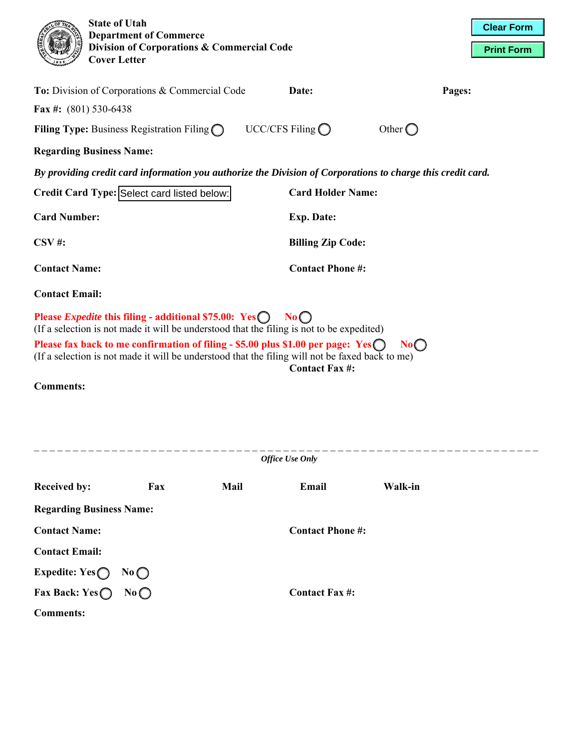|                                                                                                                                                                                                                              | <b>State of Utah</b><br><b>Cover Letter</b> | <b>Department of Commerce</b><br>Division of Corporations & Commercial Code |  |                           |                  | <b>Clear Form</b><br><b>Print Form</b> |  |  |  |  |  |
|------------------------------------------------------------------------------------------------------------------------------------------------------------------------------------------------------------------------------|---------------------------------------------|-----------------------------------------------------------------------------|--|---------------------------|------------------|----------------------------------------|--|--|--|--|--|
|                                                                                                                                                                                                                              |                                             | To: Division of Corporations & Commercial Code                              |  | Date:                     |                  | Pages:                                 |  |  |  |  |  |
| Fax #: $(801)$ 530-6438                                                                                                                                                                                                      |                                             |                                                                             |  |                           |                  |                                        |  |  |  |  |  |
|                                                                                                                                                                                                                              |                                             | <b>Filing Type:</b> Business Registration Filing $\bigcap$                  |  | UCC/CFS Filing $\bigcirc$ | Other $\bigcirc$ |                                        |  |  |  |  |  |
|                                                                                                                                                                                                                              | <b>Regarding Business Name:</b>             |                                                                             |  |                           |                  |                                        |  |  |  |  |  |
| By providing credit card information you authorize the Division of Corporations to charge this credit card.                                                                                                                  |                                             |                                                                             |  |                           |                  |                                        |  |  |  |  |  |
| Credit Card Type: Select card listed below:                                                                                                                                                                                  |                                             |                                                                             |  | <b>Card Holder Name:</b>  |                  |                                        |  |  |  |  |  |
| <b>Card Number:</b>                                                                                                                                                                                                          |                                             |                                                                             |  | <b>Exp. Date:</b>         |                  |                                        |  |  |  |  |  |
| $\bf{CSV}$ #:                                                                                                                                                                                                                |                                             |                                                                             |  | <b>Billing Zip Code:</b>  |                  |                                        |  |  |  |  |  |
| <b>Contact Name:</b>                                                                                                                                                                                                         |                                             |                                                                             |  | <b>Contact Phone #:</b>   |                  |                                        |  |  |  |  |  |
| <b>Contact Email:</b>                                                                                                                                                                                                        |                                             |                                                                             |  |                           |                  |                                        |  |  |  |  |  |
| Please <i>Expedite</i> this filing - additional \$75.00: Yes<br>No<br>(If a selection is not made it will be understood that the filing is not to be expedited)                                                              |                                             |                                                                             |  |                           |                  |                                        |  |  |  |  |  |
| Please fax back to me confirmation of filing - \$5.00 plus \$1.00 per page: $Yes \bigcirc$<br>No<br>(If a selection is not made it will be understood that the filing will not be faxed back to me)<br><b>Contact Fax #:</b> |                                             |                                                                             |  |                           |                  |                                        |  |  |  |  |  |
| <b>Comments:</b>                                                                                                                                                                                                             |                                             |                                                                             |  |                           |                  |                                        |  |  |  |  |  |
| <b>Office Use Only</b>                                                                                                                                                                                                       |                                             |                                                                             |  |                           |                  |                                        |  |  |  |  |  |
| <b>Received by:</b>                                                                                                                                                                                                          |                                             | Mail<br>Fax                                                                 |  | Email                     | Walk-in          |                                        |  |  |  |  |  |
|                                                                                                                                                                                                                              | <b>Regarding Business Name:</b>             |                                                                             |  |                           |                  |                                        |  |  |  |  |  |
| <b>Contact Name:</b>                                                                                                                                                                                                         |                                             |                                                                             |  | <b>Contact Phone #:</b>   |                  |                                        |  |  |  |  |  |
| <b>Contact Email:</b>                                                                                                                                                                                                        |                                             |                                                                             |  |                           |                  |                                        |  |  |  |  |  |
| Expedite: $Yes$ $\bigcap$                                                                                                                                                                                                    | No                                          |                                                                             |  |                           |                  |                                        |  |  |  |  |  |
| <b>Comments:</b>                                                                                                                                                                                                             | Fax Back: $Yes \bigcirc$ No $\bigcirc$      |                                                                             |  | <b>Contact Fax #:</b>     |                  |                                        |  |  |  |  |  |
|                                                                                                                                                                                                                              |                                             |                                                                             |  |                           |                  |                                        |  |  |  |  |  |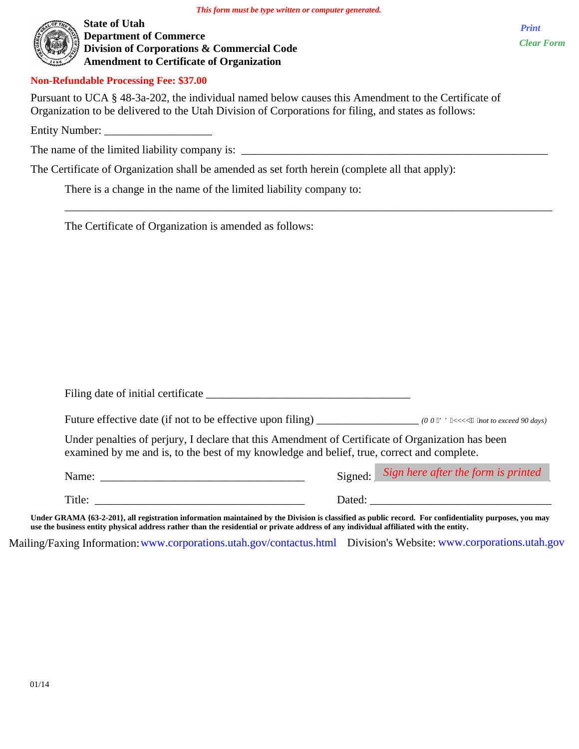$\overline{\phantom{a}}$  ,  $\overline{\phantom{a}}$  ,  $\overline{\phantom{a}}$  ,  $\overline{\phantom{a}}$  ,  $\overline{\phantom{a}}$  ,  $\overline{\phantom{a}}$  ,  $\overline{\phantom{a}}$  ,  $\overline{\phantom{a}}$  ,  $\overline{\phantom{a}}$  ,  $\overline{\phantom{a}}$  ,  $\overline{\phantom{a}}$  ,  $\overline{\phantom{a}}$  ,  $\overline{\phantom{a}}$  ,  $\overline{\phantom{a}}$  ,  $\overline{\phantom{a}}$  ,  $\overline{\phantom{a}}$ 



**State of Utah Department of Commerce Division of Corporations & Commercial Code Amendment to Certificate of Organization** 

**Non-Refundable Processing Fee: \$37.00** 

Pursuant to UCA § 48-3a-202, the individual named below causes this Amendment to the Certificate of Organization to be delivered to the Utah Division of Corporations for filing, and states as follows:

Entity Number:

The name of the limited liability company is: \_\_\_\_\_\_\_\_\_\_\_\_\_\_\_\_\_\_\_\_\_\_\_\_\_\_\_\_\_\_\_\_\_\_\_\_\_\_\_\_\_\_\_\_\_\_\_\_\_\_\_\_\_\_

The Certificate of Organization shall be amended as set forth herein (complete all that apply):

There is a change in the name of the limited liability company to:

The Certificate of Organization is amended as follows:

| Filing date of initial certificate high-                                                                                                                                                                                                                                                                                                                                                                                                         |        |                                             |
|--------------------------------------------------------------------------------------------------------------------------------------------------------------------------------------------------------------------------------------------------------------------------------------------------------------------------------------------------------------------------------------------------------------------------------------------------|--------|---------------------------------------------|
| Future effective date (if not to be effective upon filing) (OO/FF/[[['' "hot to exceed 90 days)                                                                                                                                                                                                                                                                                                                                                  |        |                                             |
| Under penalties of perjury, I declare that this Amendment of Certificate of Organization has been<br>examined by me and is, to the best of my knowledge and belief, true, correct and complete.                                                                                                                                                                                                                                                  |        |                                             |
| Name: $\frac{1}{\sqrt{1-\frac{1}{2}} \cdot \frac{1}{\sqrt{1-\frac{1}{2}} \cdot \frac{1}{2}} \cdot \frac{1}{\sqrt{1-\frac{1}{2}} \cdot \frac{1}{2}}}{1-\frac{1}{2} \cdot \frac{1}{2} \cdot \frac{1}{2} \cdot \frac{1}{2} \cdot \frac{1}{2} \cdot \frac{1}{2} \cdot \frac{1}{2} \cdot \frac{1}{2} \cdot \frac{1}{2} \cdot \frac{1}{2} \cdot \frac{1}{2} \cdot \frac{1}{2} \cdot \frac{1}{2} \cdot \frac{1}{2} \cdot \frac{1}{2} \cdot \frac{1}{2}$ |        | Signed: Sign here after the form is printed |
| Title:                                                                                                                                                                                                                                                                                                                                                                                                                                           | Dated: |                                             |

**Under GRAMA {63-2-201}, all registration information maintained by the Division is classified as public record. For confidentiality purposes, you may use the business entity physical address rather than the residential or private address of any individual affiliated with the entity.**

Mailing/Faxing Information:www.corporations.utah.gov/contactus.html Division's Website: www.corporations.utah.gov